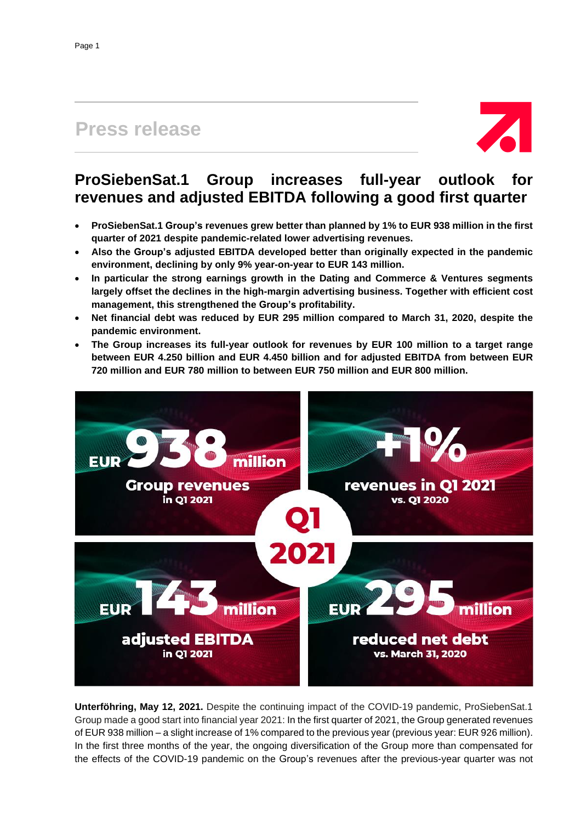# **Press release**



# **ProSiebenSat.1 Group increases full-year outlook for revenues and adjusted EBITDA following a good first quarter**

- **ProSiebenSat.1 Group's revenues grew better than planned by 1% to EUR 938 million in the first quarter of 2021 despite pandemic-related lower advertising revenues.**
- **Also the Group's adjusted EBITDA developed better than originally expected in the pandemic environment, declining by only 9% year-on-year to EUR 143 million.**
- **In particular the strong earnings growth in the Dating and Commerce & Ventures segments largely offset the declines in the high-margin advertising business. Together with efficient cost management, this strengthened the Group's profitability.**
- **Net financial debt was reduced by EUR 295 million compared to March 31, 2020, despite the pandemic environment.**
- **The Group increases its full-year outlook for revenues by EUR 100 million to a target range between EUR 4.250 billion and EUR 4.450 billion and for adjusted EBITDA from between EUR 720 million and EUR 780 million to between EUR 750 million and EUR 800 million.**



**Unterföhring, May 12, 2021.** Despite the continuing impact of the COVID-19 pandemic, ProSiebenSat.1 Group made a good start into financial year 2021: In the first quarter of 2021, the Group generated revenues of EUR 938 million – a slight increase of 1% compared to the previous year (previous year: EUR 926 million). In the first three months of the year, the ongoing diversification of the Group more than compensated for the effects of the COVID-19 pandemic on the Group's revenues after the previous-year quarter was not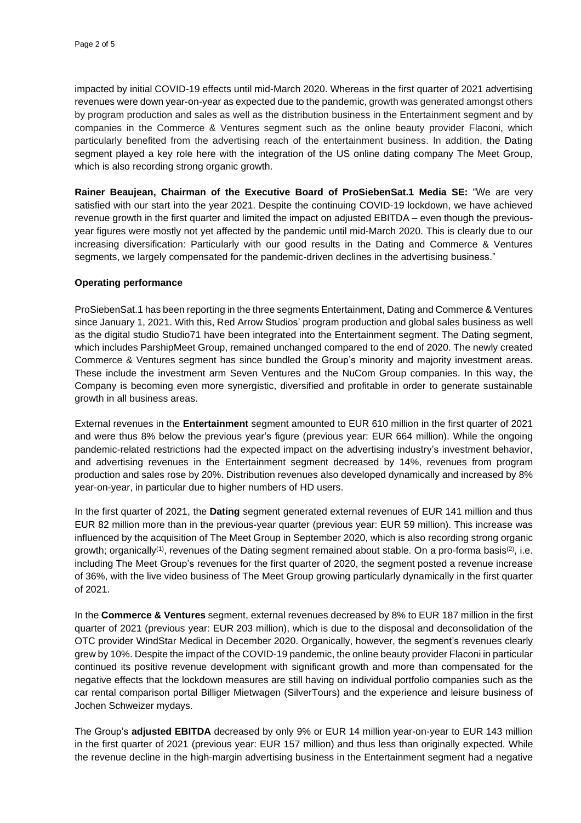impacted by initial COVID-19 effects until mid-March 2020. Whereas in the first quarter of 2021 advertising revenues were down year-on-year as expected due to the pandemic, growth was generated amongst others by program production and sales as well as the distribution business in the Entertainment segment and by companies in the Commerce & Ventures segment such as the online beauty provider Flaconi, which particularly benefited from the advertising reach of the entertainment business. In addition, the Dating segment played a key role here with the integration of the US online dating company The Meet Group, which is also recording strong organic growth.

**Rainer Beaujean, Chairman of the Executive Board of ProSiebenSat.1 Media SE:** "We are very satisfied with our start into the year 2021. Despite the continuing COVID-19 lockdown, we have achieved revenue growth in the first quarter and limited the impact on adjusted EBITDA – even though the previousyear figures were mostly not yet affected by the pandemic until mid-March 2020. This is clearly due to our increasing diversification: Particularly with our good results in the Dating and Commerce & Ventures segments, we largely compensated for the pandemic-driven declines in the advertising business."

### **Operating performance**

ProSiebenSat.1 has been reporting in the three segments Entertainment, Dating and Commerce & Ventures since January 1, 2021. With this, Red Arrow Studios' program production and global sales business as well as the digital studio Studio71 have been integrated into the Entertainment segment. The Dating segment, which includes ParshipMeet Group, remained unchanged compared to the end of 2020. The newly created Commerce & Ventures segment has since bundled the Group's minority and majority investment areas. These include the investment arm Seven Ventures and the NuCom Group companies. In this way, the Company is becoming even more synergistic, diversified and profitable in order to generate sustainable growth in all business areas.

External revenues in the **Entertainment** segment amounted to EUR 610 million in the first quarter of 2021 and were thus 8% below the previous year's figure (previous year: EUR 664 million). While the ongoing pandemic-related restrictions had the expected impact on the advertising industry's investment behavior, and advertising revenues in the Entertainment segment decreased by 14%, revenues from program production and sales rose by 20%. Distribution revenues also developed dynamically and increased by 8% year-on-year, in particular due to higher numbers of HD users.

In the first quarter of 2021, the **Dating** segment generated external revenues of EUR 141 million and thus EUR 82 million more than in the previous-year quarter (previous year: EUR 59 million). This increase was influenced by the acquisition of The Meet Group in September 2020, which is also recording strong organic growth; organically<sup>(1)</sup>, revenues of the Dating segment remained about stable. On a pro-forma basis<sup>(2)</sup>, i.e. including The Meet Group's revenues for the first quarter of 2020, the segment posted a revenue increase of 36%, with the live video business of The Meet Group growing particularly dynamically in the first quarter of 2021.

In the **Commerce & Ventures** segment, external revenues decreased by 8% to EUR 187 million in the first quarter of 2021 (previous year: EUR 203 million), which is due to the disposal and deconsolidation of the OTC provider WindStar Medical in December 2020. Organically, however, the segment's revenues clearly grew by 10%. Despite the impact of the COVID-19 pandemic, the online beauty provider Flaconi in particular continued its positive revenue development with significant growth and more than compensated for the negative effects that the lockdown measures are still having on individual portfolio companies such as the car rental comparison portal Billiger Mietwagen (SilverTours) and the experience and leisure business of Jochen Schweizer mydays.

The Group's **adjusted EBITDA** decreased by only 9% or EUR 14 million year-on-year to EUR 143 million in the first quarter of 2021 (previous year: EUR 157 million) and thus less than originally expected. While the revenue decline in the high-margin advertising business in the Entertainment segment had a negative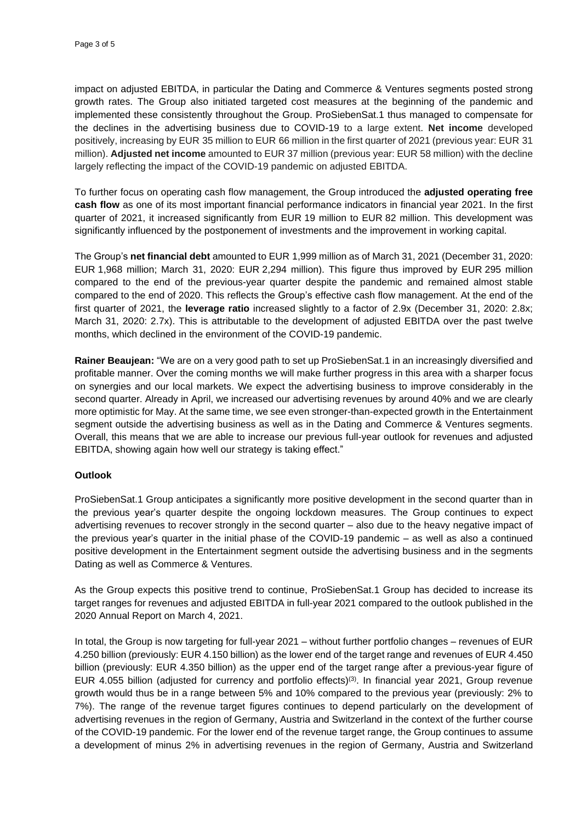impact on adjusted EBITDA, in particular the Dating and Commerce & Ventures segments posted strong growth rates. The Group also initiated targeted cost measures at the beginning of the pandemic and implemented these consistently throughout the Group. ProSiebenSat.1 thus managed to compensate for the declines in the advertising business due to COVID-19 to a large extent. **Net income** developed positively, increasing by EUR 35 million to EUR 66 million in the first quarter of 2021 (previous year: EUR 31 million). **Adjusted net income** amounted to EUR 37 million (previous year: EUR 58 million) with the decline largely reflecting the impact of the COVID-19 pandemic on adjusted EBITDA.

To further focus on operating cash flow management, the Group introduced the **adjusted operating free cash flow** as one of its most important financial performance indicators in financial year 2021. In the first quarter of 2021, it increased significantly from EUR 19 million to EUR 82 million. This development was significantly influenced by the postponement of investments and the improvement in working capital.

The Group's **net financial debt** amounted to EUR 1,999 million as of March 31, 2021 (December 31, 2020: EUR 1,968 million; March 31, 2020: EUR 2,294 million). This figure thus improved by EUR 295 million compared to the end of the previous-year quarter despite the pandemic and remained almost stable compared to the end of 2020. This reflects the Group's effective cash flow management. At the end of the first quarter of 2021, the **leverage ratio** increased slightly to a factor of 2.9x (December 31, 2020: 2.8x; March 31, 2020: 2.7x). This is attributable to the development of adjusted EBITDA over the past twelve months, which declined in the environment of the COVID-19 pandemic.

**Rainer Beaujean:** "We are on a very good path to set up ProSiebenSat.1 in an increasingly diversified and profitable manner. Over the coming months we will make further progress in this area with a sharper focus on synergies and our local markets. We expect the advertising business to improve considerably in the second quarter. Already in April, we increased our advertising revenues by around 40% and we are clearly more optimistic for May. At the same time, we see even stronger-than-expected growth in the Entertainment segment outside the advertising business as well as in the Dating and Commerce & Ventures segments. Overall, this means that we are able to increase our previous full-year outlook for revenues and adjusted EBITDA, showing again how well our strategy is taking effect."

# **Outlook**

ProSiebenSat.1 Group anticipates a significantly more positive development in the second quarter than in the previous year's quarter despite the ongoing lockdown measures. The Group continues to expect advertising revenues to recover strongly in the second quarter – also due to the heavy negative impact of the previous year's quarter in the initial phase of the COVID-19 pandemic – as well as also a continued positive development in the Entertainment segment outside the advertising business and in the segments Dating as well as Commerce & Ventures.

As the Group expects this positive trend to continue, ProSiebenSat.1 Group has decided to increase its target ranges for revenues and adjusted EBITDA in full-year 2021 compared to the outlook published in the 2020 Annual Report on March 4, 2021.

In total, the Group is now targeting for full-year 2021 – without further portfolio changes – revenues of EUR 4.250 billion (previously: EUR 4.150 billion) as the lower end of the target range and revenues of EUR 4.450 billion (previously: EUR 4.350 billion) as the upper end of the target range after a previous-year figure of EUR 4.055 billion (adjusted for currency and portfolio effects)<sup>(3)</sup>. In financial year 2021, Group revenue growth would thus be in a range between 5% and 10% compared to the previous year (previously: 2% to 7%). The range of the revenue target figures continues to depend particularly on the development of advertising revenues in the region of Germany, Austria and Switzerland in the context of the further course of the COVID-19 pandemic. For the lower end of the revenue target range, the Group continues to assume a development of minus 2% in advertising revenues in the region of Germany, Austria and Switzerland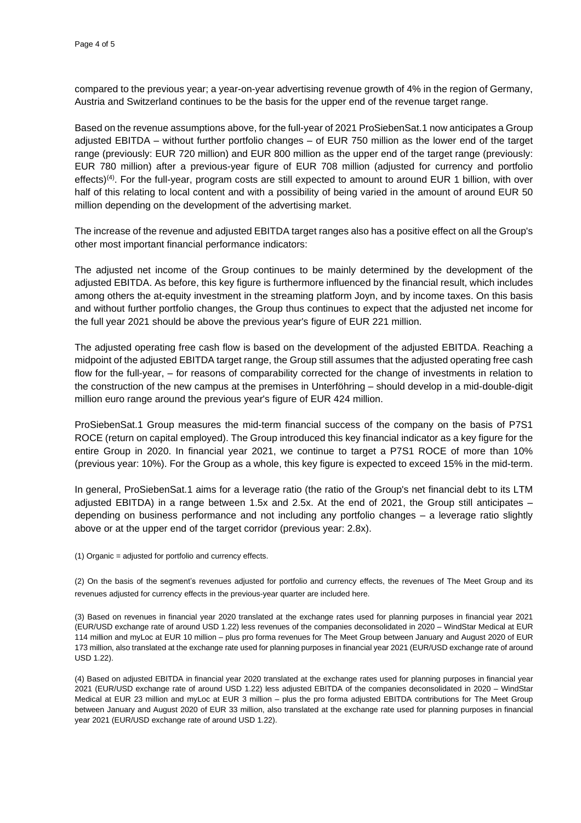compared to the previous year; a year-on-year advertising revenue growth of 4% in the region of Germany, Austria and Switzerland continues to be the basis for the upper end of the revenue target range.

Based on the revenue assumptions above, for the full-year of 2021 ProSiebenSat.1 now anticipates a Group adjusted EBITDA – without further portfolio changes – of EUR 750 million as the lower end of the target range (previously: EUR 720 million) and EUR 800 million as the upper end of the target range (previously: EUR 780 million) after a previous-year figure of EUR 708 million (adjusted for currency and portfolio effects)<sup>(4)</sup>. For the full-year, program costs are still expected to amount to around EUR 1 billion, with over half of this relating to local content and with a possibility of being varied in the amount of around EUR 50 million depending on the development of the advertising market.

The increase of the revenue and adjusted EBITDA target ranges also has a positive effect on all the Group's other most important financial performance indicators:

The adjusted net income of the Group continues to be mainly determined by the development of the adjusted EBITDA. As before, this key figure is furthermore influenced by the financial result, which includes among others the at-equity investment in the streaming platform Joyn, and by income taxes. On this basis and without further portfolio changes, the Group thus continues to expect that the adjusted net income for the full year 2021 should be above the previous year's figure of EUR 221 million.

The adjusted operating free cash flow is based on the development of the adjusted EBITDA. Reaching a midpoint of the adjusted EBITDA target range, the Group still assumes that the adjusted operating free cash flow for the full-year, – for reasons of comparability corrected for the change of investments in relation to the construction of the new campus at the premises in Unterföhring – should develop in a mid-double-digit million euro range around the previous year's figure of EUR 424 million.

ProSiebenSat.1 Group measures the mid-term financial success of the company on the basis of P7S1 ROCE (return on capital employed). The Group introduced this key financial indicator as a key figure for the entire Group in 2020. In financial year 2021, we continue to target a P7S1 ROCE of more than 10% (previous year: 10%). For the Group as a whole, this key figure is expected to exceed 15% in the mid-term.

In general, ProSiebenSat.1 aims for a leverage ratio (the ratio of the Group's net financial debt to its LTM adjusted EBITDA) in a range between 1.5x and 2.5x. At the end of 2021, the Group still anticipates – depending on business performance and not including any portfolio changes – a leverage ratio slightly above or at the upper end of the target corridor (previous year: 2.8x).

(1) Organic = adjusted for portfolio and currency effects.

(2) On the basis of the segment's revenues adjusted for portfolio and currency effects, the revenues of The Meet Group and its revenues adjusted for currency effects in the previous-year quarter are included here.

(3) Based on revenues in financial year 2020 translated at the exchange rates used for planning purposes in financial year 2021 (EUR/USD exchange rate of around USD 1.22) less revenues of the companies deconsolidated in 2020 – WindStar Medical at EUR 114 million and myLoc at EUR 10 million – plus pro forma revenues for The Meet Group between January and August 2020 of EUR 173 million, also translated at the exchange rate used for planning purposes in financial year 2021 (EUR/USD exchange rate of around USD 1.22).

(4) Based on adjusted EBITDA in financial year 2020 translated at the exchange rates used for planning purposes in financial year 2021 (EUR/USD exchange rate of around USD 1.22) less adjusted EBITDA of the companies deconsolidated in 2020 – WindStar Medical at EUR 23 million and myLoc at EUR 3 million – plus the pro forma adjusted EBITDA contributions for The Meet Group between January and August 2020 of EUR 33 million, also translated at the exchange rate used for planning purposes in financial year 2021 (EUR/USD exchange rate of around USD 1.22).